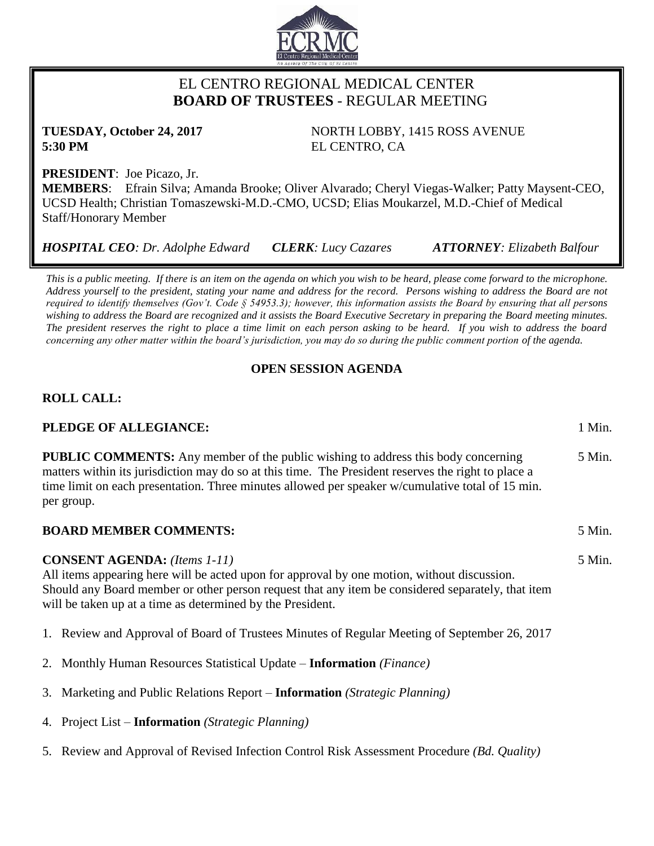

# EL CENTRO REGIONAL MEDICAL CENTER  **BOARD OF TRUSTEES** - REGULAR MEETING

**5:30 PM** EL CENTRO, CA

**TUESDAY, October 24, 2017** NORTH LOBBY, 1415 ROSS AVENUE

5 Min.

**PRESIDENT**: Joe Picazo, Jr.

**MEMBERS**: Efrain Silva; Amanda Brooke; Oliver Alvarado; Cheryl Viegas-Walker; Patty Maysent-CEO, UCSD Health; Christian Tomaszewski-M.D.-CMO, UCSD; Elias Moukarzel, M.D.-Chief of Medical Staff/Honorary Member

*HOSPITAL CEO: Dr. Adolphe Edward CLERK: Lucy Cazares ATTORNEY: Elizabeth Balfour*

*This is a public meeting. If there is an item on the agenda on which you wish to be heard, please come forward to the microphone. Address yourself to the president, stating your name and address for the record. Persons wishing to address the Board are not required to identify themselves (Gov't. Code § 54953.3); however, this information assists the Board by ensuring that all persons wishing to address the Board are recognized and it assists the Board Executive Secretary in preparing the Board meeting minutes. The president reserves the right to place a time limit on each person asking to be heard. If you wish to address the board* 

*concerning any other matter within the board's jurisdiction, you may do so during the public comment portion of the agenda.*

# **OPEN SESSION AGENDA**

# **ROLL CALL:**

# **PLEDGE OF ALLEGIANCE:** 1 Min.

**PUBLIC COMMENTS:** Any member of the public wishing to address this body concerning matters within its jurisdiction may do so at this time. The President reserves the right to place a time limit on each presentation. Three minutes allowed per speaker w/cumulative total of 15 min. per group. 5 Min.

# **BOARD MEMBER COMMENTS:** 5 Min.

**CONSENT AGENDA:** *(Items 1-11)* All items appearing here will be acted upon for approval by one motion, without discussion. Should any Board member or other person request that any item be considered separately, that item will be taken up at a time as determined by the President.

- 1. Review and Approval of Board of Trustees Minutes of Regular Meeting of September 26, 2017
- 2. Monthly Human Resources Statistical Update **Information** *(Finance)*
- 3. Marketing and Public Relations Report **Information** *(Strategic Planning)*
- 4. Project List **Information** *(Strategic Planning)*
- 5. Review and Approval of Revised Infection Control Risk Assessment Procedure *(Bd. Quality)*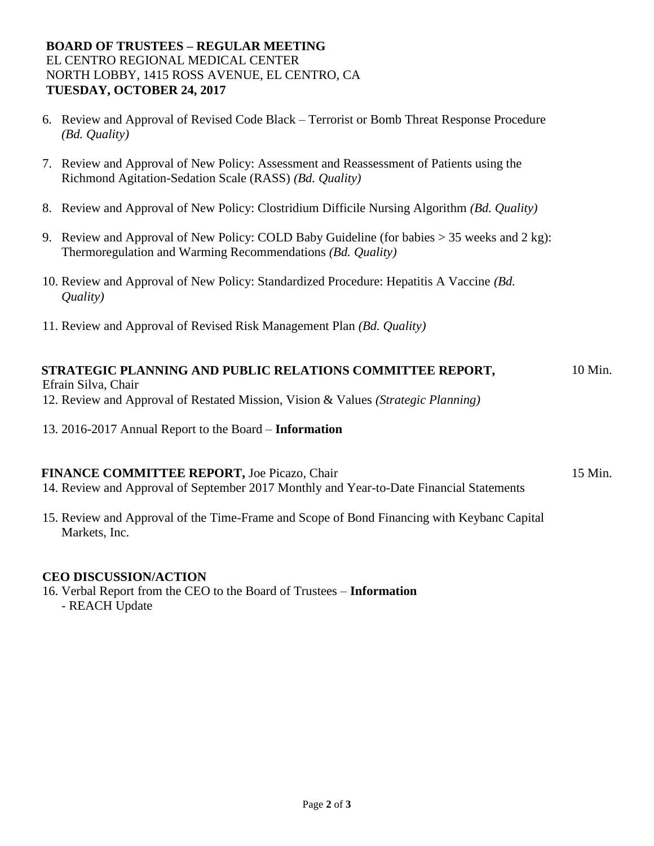## **BOARD OF TRUSTEES – REGULAR MEETING** EL CENTRO REGIONAL MEDICAL CENTER NORTH LOBBY, 1415 ROSS AVENUE, EL CENTRO, CA **TUESDAY, OCTOBER 24, 2017**

- 6. Review and Approval of Revised Code Black Terrorist or Bomb Threat Response Procedure *(Bd. Quality)*
- 7. Review and Approval of New Policy: Assessment and Reassessment of Patients using the Richmond Agitation-Sedation Scale (RASS) *(Bd. Quality)*
- 8. Review and Approval of New Policy: Clostridium Difficile Nursing Algorithm *(Bd. Quality)*
- 9. Review and Approval of New Policy: COLD Baby Guideline (for babies > 35 weeks and 2 kg): Thermoregulation and Warming Recommendations *(Bd. Quality)*
- 10. Review and Approval of New Policy: Standardized Procedure: Hepatitis A Vaccine *(Bd. Quality)*
- 11. Review and Approval of Revised Risk Management Plan *(Bd. Quality)*

#### **STRATEGIC PLANNING AND PUBLIC RELATIONS COMMITTEE REPORT,**  10 Min.

Efrain Silva, Chair

12. Review and Approval of Restated Mission, Vision & Values *(Strategic Planning)*

13. 2016-2017 Annual Report to the Board – **Information** 

### **FINANCE COMMITTEE REPORT, Joe Picazo, Chair 15 Min.** 15 Min.

- 14. Review and Approval of September 2017 Monthly and Year-to-Date Financial Statements
- 15. Review and Approval of the Time-Frame and Scope of Bond Financing with Keybanc Capital Markets, Inc.

### **CEO DISCUSSION/ACTION**

16. Verbal Report from the CEO to the Board of Trustees – **Information** - REACH Update